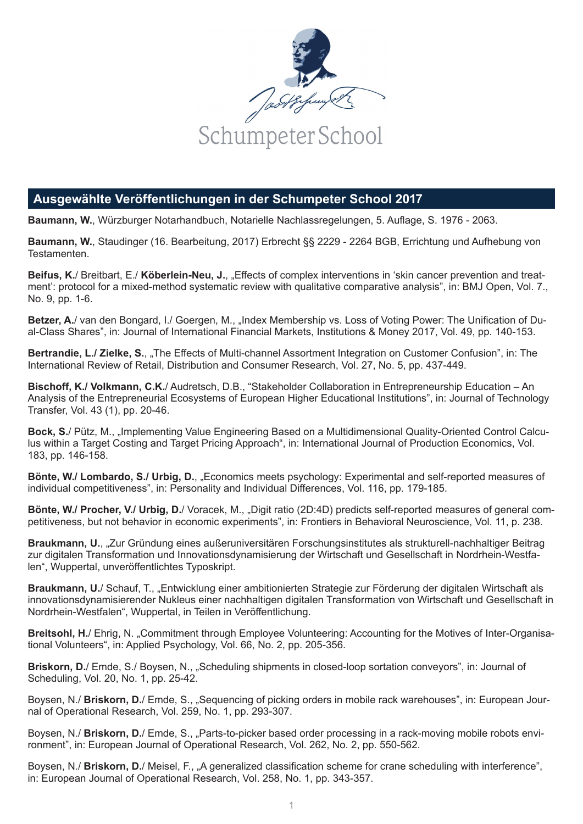

## **Ausgewählte Veröffentlichungen in der Schumpeter School 2017**

**Baumann, W.**, Würzburger Notarhandbuch, Notarielle Nachlassregelungen, 5. Auflage, S. 1976 - 2063.

**Baumann, W.**, Staudinger (16. Bearbeitung, 2017) Erbrecht §§ 2229 - 2264 BGB, Errichtung und Aufhebung von Testamenten.

**Beifus, K.**/ Breitbart, E./ **Köberlein-Neu, J.**, "Effects of complex interventions in 'skin cancer prevention and treatment': protocol for a mixed-method systematic review with qualitative comparative analysis", in: BMJ Open, Vol. 7., No. 9, pp. 1-6.

**Betzer, A.**/ van den Bongard, I./ Goergen, M., "Index Membership vs. Loss of Voting Power: The Unification of Dual-Class Shares", in: Journal of International Financial Markets, Institutions & Money 2017, Vol. 49, pp. 140-153.

**Bertrandie, L./ Zielke, S.**, "The Effects of Multi-channel Assortment Integration on Customer Confusion", in: The International Review of Retail, Distribution and Consumer Research, Vol. 27, No. 5, pp. 437-449.

**Bischoff, K./ Volkmann, C.K.**/ Audretsch, D.B., "Stakeholder Collaboration in Entrepreneurship Education – An Analysis of the Entrepreneurial Ecosystems of European Higher Educational Institutions", in: Journal of Technology Transfer, Vol. 43 (1), pp. 20-46.

**Bock, S.**/ Pütz, M., "Implementing Value Engineering Based on a Multidimensional Quality-Oriented Control Calculus within a Target Costing and Target Pricing Approach", in: International Journal of Production Economics, Vol. 183, pp. 146-158.

**Bönte, W./ Lombardo, S./ Urbig, D.**, "Economics meets psychology: Experimental and self-reported measures of individual competitiveness", in: Personality and Individual Differences, Vol. 116, pp. 179-185.

**Bönte, W./ Procher, V./ Urbig, D./ Voracek, M., "Digit ratio (2D:4D) predicts self-reported measures of general com**petitiveness, but not behavior in economic experiments", in: Frontiers in Behavioral Neuroscience, Vol. 11, p. 238.

**Braukmann, U.**, "Zur Gründung eines außeruniversitären Forschungsinstitutes als strukturell-nachhaltiger Beitrag zur digitalen Transformation und Innovationsdynamisierung der Wirtschaft und Gesellschaft in Nordrhein-Westfalen", Wuppertal, unveröffentlichtes Typoskript.

Braukmann, U./ Schauf, T., "Entwicklung einer ambitionierten Strategie zur Förderung der digitalen Wirtschaft als innovationsdynamisierender Nukleus einer nachhaltigen digitalen Transformation von Wirtschaft und Gesellschaft in Nordrhein-Westfalen", Wuppertal, in Teilen in Veröffentlichung.

**Breitsohl, H.**/ Ehrig, N. "Commitment through Employee Volunteering: Accounting for the Motives of Inter-Organisational Volunteers", in: Applied Psychology, Vol. 66, No. 2, pp. 205-356.

**Briskorn, D.**/ Emde, S./ Boysen, N., "Scheduling shipments in closed-loop sortation conveyors", in: Journal of Scheduling, Vol. 20, No. 1, pp. 25-42.

Boysen, N./ **Briskorn, D.**/ Emde, S., "Sequencing of picking orders in mobile rack warehouses", in: European Journal of Operational Research, Vol. 259, No. 1, pp. 293-307.

Boysen, N./ **Briskorn, D.**/ Emde, S., "Parts-to-picker based order processing in a rack-moving mobile robots environment", in: European Journal of Operational Research, Vol. 262, No. 2, pp. 550-562.

Boysen, N./ **Briskorn, D.**/ Meisel, F., "A generalized classification scheme for crane scheduling with interference", in: European Journal of Operational Research, Vol. 258, No. 1, pp. 343-357.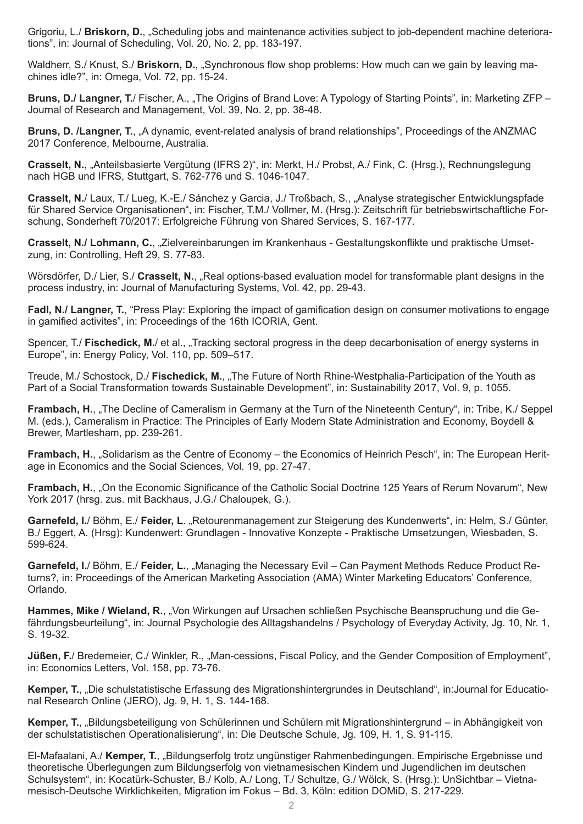Grigoriu, L./ **Briskorn, D.**, "Scheduling jobs and maintenance activities subject to job-dependent machine deteriorations", in: Journal of Scheduling, Vol. 20, No. 2, pp. 183-197.

Waldherr, S./ Knust, S./ **Briskorn, D.**, "Synchronous flow shop problems: How much can we gain by leaving machines idle?", in: Omega, Vol. 72, pp. 15-24.

**Bruns, D./ Langner, T.**/ Fischer, A., "The Origins of Brand Love: A Typology of Starting Points", in: Marketing ZFP – Journal of Research and Management, Vol. 39, No. 2, pp. 38-48.

**Bruns, D. /Langner, T.**, "A dynamic, event-related analysis of brand relationships", Proceedings of the ANZMAC 2017 Conference, Melbourne, Australia.

**Crasselt, N.**, "Anteilsbasierte Vergütung (IFRS 2)", in: Merkt, H./ Probst, A./ Fink, C. (Hrsg.), Rechnungslegung nach HGB und IFRS, Stuttgart, S. 762-776 und S. 1046-1047.

**Crasselt, N.**/ Laux, T./ Lueg, K.-E./ Sánchez y Garcia, J./ Troßbach, S., "Analyse strategischer Entwicklungspfade für Shared Service Organisationen", in: Fischer, T.M./ Vollmer, M. (Hrsg.): Zeitschrift für betriebswirtschaftliche Forschung, Sonderheft 70/2017: Erfolgreiche Führung von Shared Services, S. 167-177.

**Crasselt, N./ Lohmann, C., "Zielvereinbarungen im Krankenhaus - Gestaltungskonflikte und praktische Umset**zung, in: Controlling, Heft 29, S. 77-83.

Wörsdörfer, D./ Lier, S./ **Crasselt, N.**, "Real options-based evaluation model for transformable plant designs in the process industry, in: Journal of Manufacturing Systems, Vol. 42, pp. 29-43.

**Fadl, N./ Langner, T.**, "Press Play: Exploring the impact of gamification design on consumer motivations to engage in gamified activites", in: Proceedings of the 16th ICORIA, Gent.

Spencer, T./ **Fischedick, M.**/ et al., "Tracking sectoral progress in the deep decarbonisation of energy systems in Europe", in: Energy Policy, Vol. 110, pp. 509–517.

Treude, M./ Schostock, D./ **Fischedick, M.**, "The Future of North Rhine-Westphalia-Participation of the Youth as Part of a Social Transformation towards Sustainable Development", in: Sustainability 2017, Vol. 9, p. 1055.

**Frambach, H., "The Decline of Cameralism in Germany at the Turn of the Nineteenth Century", in: Tribe, K./ Seppel** M. (eds.), Cameralism in Practice: The Principles of Early Modern State Administration and Economy, Boydell & Brewer, Martlesham, pp. 239-261.

Frambach, H., "Solidarism as the Centre of Economy - the Economics of Heinrich Pesch", in: The European Heritage in Economics and the Social Sciences, Vol. 19, pp. 27-47.

**Frambach, H., "On the Economic Significance of the Catholic Social Doctrine 125 Years of Rerum Novarum", New** York 2017 (hrsg. zus. mit Backhaus, J.G./ Chaloupek, G.).

**Garnefeld, I.**/ Böhm, E./ **Feider, L**. "Retourenmanagement zur Steigerung des Kundenwerts", in: Helm, S./ Günter, B./ Eggert, A. (Hrsg): Kundenwert: Grundlagen - Innovative Konzepte - Praktische Umsetzungen, Wiesbaden, S. 599-624.

**Garnefeld, I.**/ Böhm, E./ **Feider, L.**, "Managing the Necessary Evil – Can Payment Methods Reduce Product Returns?, in: Proceedings of the American Marketing Association (AMA) Winter Marketing Educators' Conference, Orlando.

**Hammes, Mike / Wieland, R.**, "Von Wirkungen auf Ursachen schließen Psychische Beanspruchung und die Gefährdungsbeurteilung", in: Journal Psychologie des Alltagshandelns / Psychology of Everyday Activity, Jg. 10, Nr. 1, S. 19-32.

**Jüßen, F.**/ Bredemeier, C./ Winkler, R., "Man-cessions, Fiscal Policy, and the Gender Composition of Employment", in: Economics Letters, Vol. 158, pp. 73-76.

**Kemper, T.**, "Die schulstatistische Erfassung des Migrationshintergrundes in Deutschland", in:Journal for Educational Research Online (JERO), Jg. 9, H. 1, S. 144-168.

**Kemper, T.**, "Bildungsbeteiligung von Schülerinnen und Schülern mit Migrationshintergrund – in Abhängigkeit von der schulstatistischen Operationalisierung", in: Die Deutsche Schule, Jg. 109, H. 1, S. 91-115.

El-Mafaalani, A./ Kemper, T., "Bildungserfolg trotz ungünstiger Rahmenbedingungen. Empirische Ergebnisse und theoretische Überlegungen zum Bildungserfolg von vietnamesischen Kindern und Jugendlichen im deutschen Schulsystem", in: Kocatürk-Schuster, B./ Kolb, A./ Long, T./ Schultze, G./ Wölck, S. (Hrsg.): UnSichtbar – Vietnamesisch-Deutsche Wirklichkeiten, Migration im Fokus – Bd. 3, Köln: edition DOMiD, S. 217-229.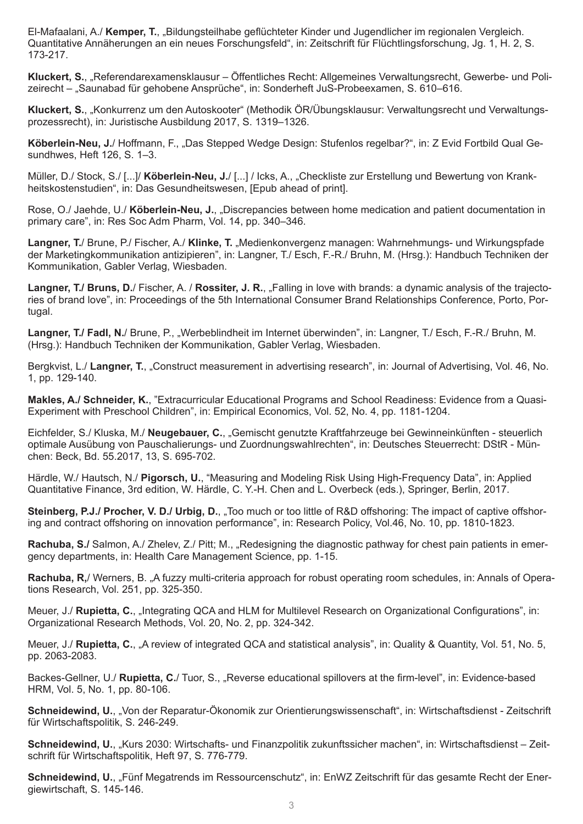El-Mafaalani, A./ **Kemper, T.**, "Bildungsteilhabe geflüchteter Kinder und Jugendlicher im regionalen Vergleich. Quantitative Annäherungen an ein neues Forschungsfeld", in: Zeitschrift für Flüchtlingsforschung, Jg. 1, H. 2, S. 173-217.

**Kluckert, S.**, "Referendarexamensklausur – Öffentliches Recht: Allgemeines Verwaltungsrecht, Gewerbe- und Polizeirecht – "Saunabad für gehobene Ansprüche", in: Sonderheft JuS-Probeexamen, S. 610–616.

**Kluckert, S.**, "Konkurrenz um den Autoskooter" (Methodik ÖR/Übungsklausur: Verwaltungsrecht und Verwaltungsprozessrecht), in: Juristische Ausbildung 2017, S. 1319–1326.

**Köberlein-Neu, J.**/ Hoffmann, F., "Das Stepped Wedge Design: Stufenlos regelbar?", in: Z Evid Fortbild Qual Gesundhwes, Heft 126, S. 1–3.

Müller, D./ Stock, S./ [...]/ **Köberlein-Neu, J.**/ [...] / Icks, A., "Checkliste zur Erstellung und Bewertung von Krankheitskostenstudien", in: Das Gesundheitswesen, [Epub ahead of print].

Rose, O./ Jaehde, U./ **Köberlein-Neu, J.**, "Discrepancies between home medication and patient documentation in primary care", in: Res Soc Adm Pharm, Vol. 14, pp. 340–346.

Langner, T./ Brune, P./ Fischer, A./ Klinke, T. "Medienkonvergenz managen: Wahrnehmungs- und Wirkungspfade der Marketingkommunikation antizipieren", in: Langner, T./ Esch, F.-R./ Bruhn, M. (Hrsg.): Handbuch Techniken der Kommunikation, Gabler Verlag, Wiesbaden.

**Langner, T./ Bruns, D.**/ Fischer, A. / **Rossiter, J. R.**, "Falling in love with brands: a dynamic analysis of the trajectories of brand love", in: Proceedings of the 5th International Consumer Brand Relationships Conference, Porto, Portugal.

Langner, T./ Fadl, N./ Brune, P., "Werbeblindheit im Internet überwinden", in: Langner, T./ Esch, F.-R./ Bruhn, M. (Hrsg.): Handbuch Techniken der Kommunikation, Gabler Verlag, Wiesbaden.

Bergkvist, L./ **Langner, T.**, "Construct measurement in advertising research", in: Journal of Advertising, Vol. 46, No. 1, pp. 129-140.

**Makles, A./ Schneider, K.**, "Extracurricular Educational Programs and School Readiness: Evidence from a Quasi-Experiment with Preschool Children", in: Empirical Economics, Vol. 52, No. 4, pp. 1181-1204.

Eichfelder, S./ Kluska, M./ **Neugebauer, C.**, "Gemischt genutzte Kraftfahrzeuge bei Gewinneinkünften - steuerlich optimale Ausübung von Pauschalierungs- und Zuordnungswahlrechten", in: Deutsches Steuerrecht: DStR - München: Beck, Bd. 55.2017, 13, S. 695-702.

Härdle, W./ Hautsch, N./ **Pigorsch, U.**, "Measuring and Modeling Risk Using High-Frequency Data", in: Applied Quantitative Finance, 3rd edition, W. Härdle, C. Y.-H. Chen and L. Overbeck (eds.), Springer, Berlin, 2017.

**Steinberg, P.J./ Procher, V. D./ Urbig, D.**, "Too much or too little of R&D offshoring: The impact of captive offshoring and contract offshoring on innovation performance", in: Research Policy, Vol.46, No. 10, pp. 1810-1823.

**Rachuba, S./** Salmon, A./ Zhelev, Z./ Pitt; M., "Redesigning the diagnostic pathway for chest pain patients in emergency departments, in: Health Care Management Science, pp. 1-15.

**Rachuba, R,**/ Werners, B. "A fuzzy multi-criteria approach for robust operating room schedules, in: Annals of Operations Research, Vol. 251, pp. 325-350.

Meuer, J./ **Rupietta, C.**, "Integrating QCA and HLM for Multilevel Research on Organizational Configurations", in: Organizational Research Methods, Vol. 20, No. 2, pp. 324-342.

Meuer, J./ **Rupietta, C.**, "A review of integrated QCA and statistical analysis", in: Quality & Quantity, Vol. 51, No. 5, pp. 2063-2083.

Backes-Gellner, U./ Rupietta, C./ Tuor, S., "Reverse educational spillovers at the firm-level", in: Evidence-based HRM, Vol. 5, No. 1, pp. 80-106.

Schneidewind, U., "Von der Reparatur-Ökonomik zur Orientierungswissenschaft", in: Wirtschaftsdienst - Zeitschrift für Wirtschaftspolitik, S. 246-249.

**Schneidewind, U.**, "Kurs 2030: Wirtschafts- und Finanzpolitik zukunftssicher machen", in: Wirtschaftsdienst – Zeitschrift für Wirtschaftspolitik, Heft 97, S. 776-779.

**Schneidewind, U., "Fünf Megatrends im Ressourcenschutz", in: EnWZ Zeitschrift für das gesamte Recht der Ener**giewirtschaft, S. 145-146.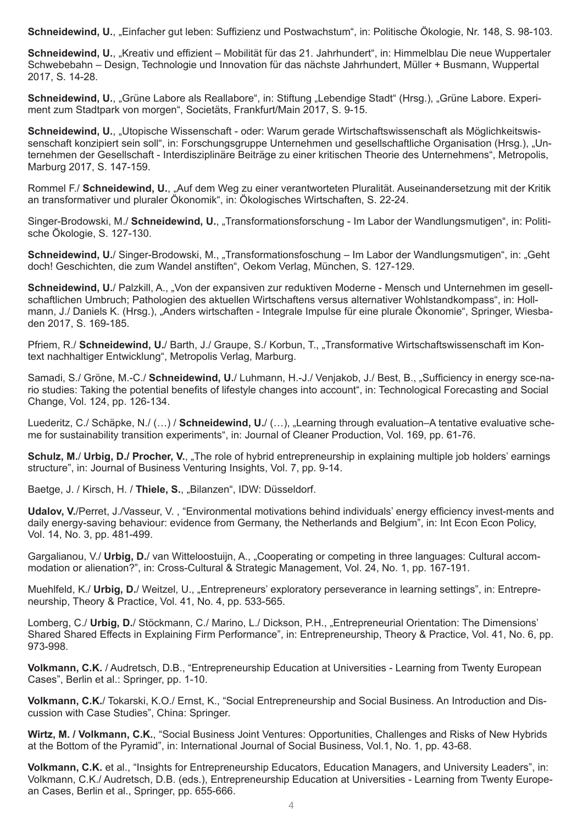Schneidewind, U., "Einfacher gut leben: Suffizienz und Postwachstum", in: Politische Ökologie, Nr. 148, S. 98-103.

Schneidewind, U., "Kreativ und effizient – Mobilität für das 21. Jahrhundert", in: Himmelblau Die neue Wuppertaler Schwebebahn – Design, Technologie und Innovation für das nächste Jahrhundert, Müller + Busmann, Wuppertal 2017, S. 14-28.

**Schneidewind, U., "Grüne Labore als Reallabore", in: Stiftung "Lebendige Stadt" (Hrsg.), "Grüne Labore. Experi**ment zum Stadtpark von morgen", Societäts, Frankfurt/Main 2017, S. 9-15.

**Schneidewind, U., "Utopische Wissenschaft - oder: Warum gerade Wirtschaftswissenschaft als Möglichkeitswis**senschaft konzipiert sein soll", in: Forschungsgruppe Unternehmen und gesellschaftliche Organisation (Hrsg.), "Unternehmen der Gesellschaft - Interdisziplinäre Beiträge zu einer kritischen Theorie des Unternehmens", Metropolis, Marburg 2017, S. 147-159.

Rommel F./ **Schneidewind, U.**, "Auf dem Weg zu einer verantworteten Pluralität. Auseinandersetzung mit der Kritik an transformativer und pluraler Ökonomik", in: Ökologisches Wirtschaften, S. 22-24.

Singer-Brodowski, M./ **Schneidewind, U.**, "Transformationsforschung - Im Labor der Wandlungsmutigen", in: Politische Ökologie, S. 127-130.

**Schneidewind, U.**/ Singer-Brodowski, M., "Transformationsfoschung – Im Labor der Wandlungsmutigen", in: "Geht doch! Geschichten, die zum Wandel anstiften", Oekom Verlag, München, S. 127-129.

**Schneidewind, U.**/ Palzkill, A., "Von der expansiven zur reduktiven Moderne - Mensch und Unternehmen im gesellschaftlichen Umbruch; Pathologien des aktuellen Wirtschaftens versus alternativer Wohlstandkompass", in: Hollmann, J./ Daniels K. (Hrsg.), "Anders wirtschaften - Integrale Impulse für eine plurale Ökonomie", Springer, Wiesbaden 2017, S. 169-185.

Pfriem, R./ Schneidewind, U./ Barth, J./ Graupe, S./ Korbun, T., "Transformative Wirtschaftswissenschaft im Kontext nachhaltiger Entwicklung", Metropolis Verlag, Marburg.

Samadi, S./ Gröne, M.-C./ Schneidewind, U./ Luhmann, H.-J./ Venjakob, J./ Best, B., "Sufficiency in energy sce-nario studies: Taking the potential benefits of lifestyle changes into account", in: Technological Forecasting and Social Change, Vol. 124, pp. 126-134.

Luederitz, C./ Schäpke, N./ (...) / Schneidewind, U./ (...), "Learning through evaluation–A tentative evaluative scheme for sustainability transition experiments", in: Journal of Cleaner Production, Vol. 169, pp. 61-76.

Schulz, M./ Urbig, D./ Procher, V., "The role of hybrid entrepreneurship in explaining multiple job holders' earnings structure", in: Journal of Business Venturing Insights, Vol. 7, pp. 9-14.

Baetge, J. / Kirsch, H. / **Thiele, S.**, "Bilanzen", IDW: Düsseldorf.

**Udalov, V.**/Perret, J./Vasseur, V. , "Environmental motivations behind individuals' energy efficiency invest-ments and daily energy-saving behaviour: evidence from Germany, the Netherlands and Belgium", in: Int Econ Econ Policy, Vol. 14, No. 3, pp. 481-499.

Gargalianou, V./ Urbig, D./ van Witteloostuijn, A., "Cooperating or competing in three languages: Cultural accommodation or alienation?", in: Cross-Cultural & Strategic Management, Vol. 24, No. 1, pp. 167-191.

Muehlfeld, K./ **Urbig, D.**/ Weitzel, U., "Entrepreneurs' exploratory perseverance in learning settings", in: Entrepreneurship, Theory & Practice, Vol. 41, No. 4, pp. 533-565.

Lomberg, C./ Urbig, D./ Stöckmann, C./ Marino, L./ Dickson, P.H., "Entrepreneurial Orientation: The Dimensions' Shared Shared Effects in Explaining Firm Performance", in: Entrepreneurship, Theory & Practice, Vol. 41, No. 6, pp. 973-998.

**Volkmann, C.K.** / Audretsch, D.B., "Entrepreneurship Education at Universities - Learning from Twenty European Cases", Berlin et al.: Springer, pp. 1-10.

**Volkmann, C.K.**/ Tokarski, K.O./ Ernst, K., "Social Entrepreneurship and Social Business. An Introduction and Discussion with Case Studies", China: Springer.

**Wirtz, M. / Volkmann, C.K.**, "Social Business Joint Ventures: Opportunities, Challenges and Risks of New Hybrids at the Bottom of the Pyramid", in: International Journal of Social Business, Vol.1, No. 1, pp. 43-68.

**Volkmann, C.K.** et al., "Insights for Entrepreneurship Educators, Education Managers, and University Leaders", in: Volkmann, C.K./ Audretsch, D.B. (eds.), Entrepreneurship Education at Universities - Learning from Twenty European Cases, Berlin et al., Springer, pp. 655-666.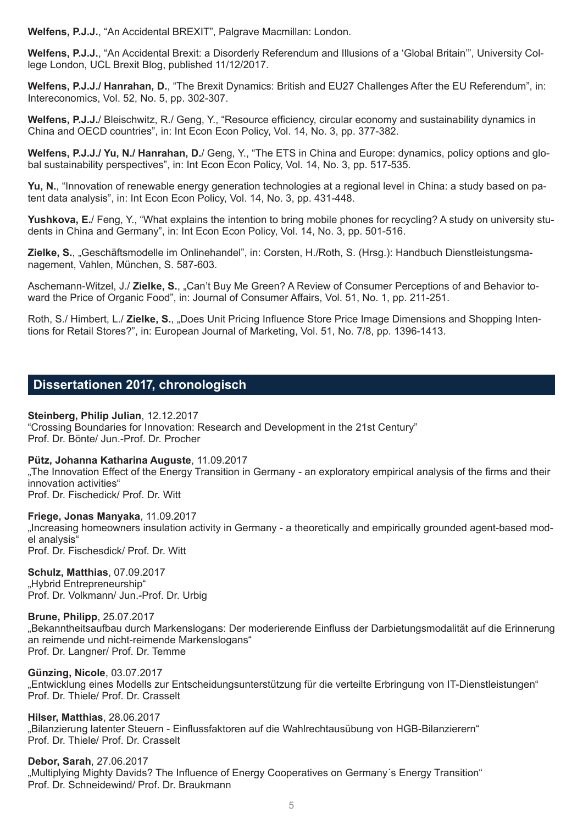**Welfens, P.J.J.**, "An Accidental BREXIT", Palgrave Macmillan: London.

**Welfens, P.J.J.**, "An Accidental Brexit: a Disorderly Referendum and Illusions of a 'Global Britain'", University College London, UCL Brexit Blog, published 11/12/2017.

**Welfens, P.J.J./ Hanrahan, D.**, "The Brexit Dynamics: British and EU27 Challenges After the EU Referendum", in: Intereconomics, Vol. 52, No. 5, pp. 302-307.

**Welfens, P.J.J.**/ Bleischwitz, R./ Geng, Y., "Resource efficiency, circular economy and sustainability dynamics in China and OECD countries", in: Int Econ Econ Policy, Vol. 14, No. 3, pp. 377-382.

**Welfens, P.J.J./ Yu, N./ Hanrahan, D.**/ Geng, Y., "The ETS in China and Europe: dynamics, policy options and global sustainability perspectives", in: Int Econ Econ Policy, Vol. 14, No. 3, pp. 517-535.

**Yu, N.**, "Innovation of renewable energy generation technologies at a regional level in China: a study based on patent data analysis", in: Int Econ Econ Policy, Vol. 14, No. 3, pp. 431-448.

**Yushkova, E.**/ Feng, Y., "What explains the intention to bring mobile phones for recycling? A study on university students in China and Germany", in: Int Econ Econ Policy, Vol. 14, No. 3, pp. 501-516.

**Zielke, S.**, "Geschäftsmodelle im Onlinehandel", in: Corsten, H./Roth, S. (Hrsg.): Handbuch Dienstleistungsmanagement, Vahlen, München, S. 587-603.

Aschemann-Witzel, J./ **Zielke, S.**, "Can't Buy Me Green? A Review of Consumer Perceptions of and Behavior toward the Price of Organic Food", in: Journal of Consumer Affairs, Vol. 51, No. 1, pp. 211-251.

Roth, S./ Himbert, L./ **Zielke, S.**, "Does Unit Pricing Influence Store Price Image Dimensions and Shopping Intentions for Retail Stores?", in: European Journal of Marketing, Vol. 51, No. 7/8, pp. 1396-1413.

# **Dissertationen 2017, chronologisch**

**Steinberg, Philip Julian**, 12.12.2017 "Crossing Boundaries for Innovation: Research and Development in the 21st Century" Prof. Dr. Bönte/ Jun.-Prof. Dr. Procher

#### **Pütz, Johanna Katharina Auguste**, 11.09.2017

"The Innovation Effect of the Energy Transition in Germany - an exploratory empirical analysis of the firms and their innovation activities" Prof. Dr. Fischedick/ Prof. Dr. Witt

**Friege, Jonas Manyaka**, 11.09.2017 "Increasing homeowners insulation activity in Germany - a theoretically and empirically grounded agent-based model analysis"

Prof. Dr. Fischesdick/ Prof. Dr. Witt

**Schulz, Matthias**, 07.09.2017 "Hybrid Entrepreneurship" Prof. Dr. Volkmann/ Jun.-Prof. Dr. Urbig

**Brune, Philipp**, 25.07.2017 "Bekanntheitsaufbau durch Markenslogans: Der moderierende Einfluss der Darbietungsmodalität auf die Erinnerung an reimende und nicht-reimende Markenslogans" Prof. Dr. Langner/ Prof. Dr. Temme

**Günzing, Nicole**, 03.07.2017 "Entwicklung eines Modells zur Entscheidungsunterstützung für die verteilte Erbringung von IT-Dienstleistungen" Prof. Dr. Thiele/ Prof. Dr. Crasselt

**Hilser, Matthias**, 28.06.2017 "Bilanzierung latenter Steuern - Einflussfaktoren auf die Wahlrechtausübung von HGB-Bilanzierern" Prof. Dr. Thiele/ Prof. Dr. Crasselt

**Debor, Sarah**, 27.06.2017 "Multiplying Mighty Davids? The Influence of Energy Cooperatives on Germany´s Energy Transition" Prof. Dr. Schneidewind/ Prof. Dr. Braukmann